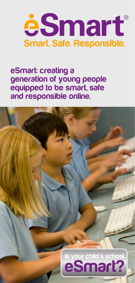

**eSmart: creating a generation of young people equipped to be smart, safe and responsible online.**

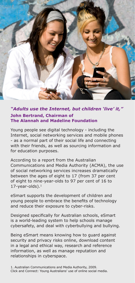

#### *"Adults use the Internet, but children 'live' it,"* **John Bertrand, Chairman of The Alannah and Madeline Foundation**

Young people see digital technology - including the Internet, social networking services and mobile phones - as a normal part of their social life and connecting with their friends, as well as sourcing information and for education purposes.

According to a report from the Australian Communications and Media Authority (ACMA), the use of social networking services increases dramatically between the ages of eight to 17 (from 37 per cent of eight to nine-year-olds to 97 per cent of 16 to  $17$ -year-olds). $<sup>1</sup>$ </sup>

eSmart supports the development of children and young people to embrace the benefits of technology and reduce their exposure to cyber-risks.

Designed specifically for Australian schools, eSmart is a world-leading system to help schools manage cybersafety, and deal with cyberbullying and bullying.

Being eSmart means knowing how to guard against security and privacy risks online, download content in a legal and ethical way, research and reference information, as well as manage reputation and relationships in cyberspace.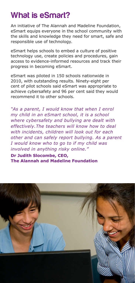# **What is eSmart?**

An initiative of The Alannah and Madeline Foundation, eSmart equips everyone in the school community with the skills and knowledge they need for smart, safe and responsible use of technology.

eSmart helps schools to embed a culture of positive technology use, create policies and procedures, gain access to evidence-informed resources and track their progress in becoming eSmart.

eSmart was piloted in 150 schools nationwide in 2010, with outstanding results. Ninety-eight per cent of pilot schools said eSmart was appropriate to achieve cybersafety and 96 per cent said they would recommend it to other schools.

*"As a parent, I would know that when I enrol my child in an eSmart school, it is a school where cybersafety and bullying are dealt with effectively.The teachers will know how to deal with incidents, children will look out for each other and can safely report bullying. As a parent I would know who to go to if my child was involved in anything risky online."*

**Dr Judith Slocombe, CEO, The Alannah and Madeline Foundation**